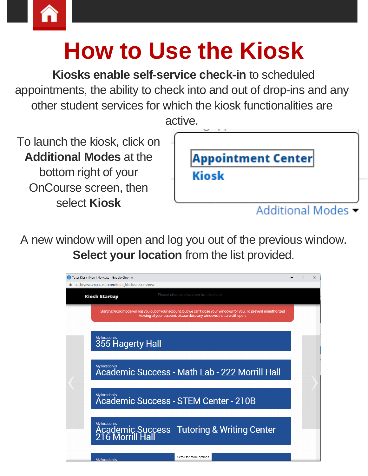

## **How to Use the Kiosk**

**Kiosks enable self-service check-in** to scheduled appointments, the ability to check into and out of drop-ins and any other student services for which the kiosk functionalities are





A new window will open and log you out of the previous window. **Select your location** from the list provided.

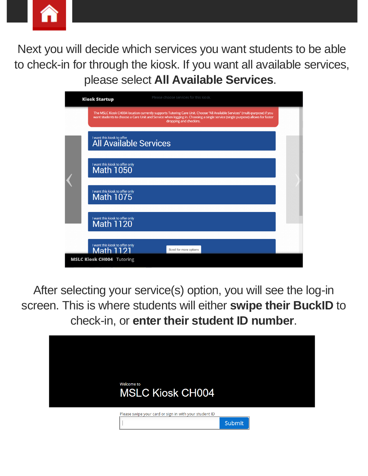

Next you will decide which services you want students to be able to check-in for through the kiosk. If you want all available services, please select **All Available Services**.

| <b>Kiosk Startup</b>                                                                                                                                                                                                                                                                   | Please choose services for this kiosk. |  |  |
|----------------------------------------------------------------------------------------------------------------------------------------------------------------------------------------------------------------------------------------------------------------------------------------|----------------------------------------|--|--|
| The MSLC Kiosk CH004 location currently supports Tutoring Care Unit. Choose "All Available Services" (multi-purpose) if you<br>want students to choose a Care Unit and Service when logging in. Choosing a single service (single purpose) allows for faster<br>dropping and checkins. |                                        |  |  |
| I want this kiosk to offer<br><b>All Available Services</b>                                                                                                                                                                                                                            |                                        |  |  |
| I want this kiosk to offer only<br><b>Math 1050</b>                                                                                                                                                                                                                                    |                                        |  |  |
| I want this kiosk to offer only<br>Math 1075                                                                                                                                                                                                                                           |                                        |  |  |
| I want this kiosk to offer only<br>Math 1120                                                                                                                                                                                                                                           |                                        |  |  |
| I want this kiosk to offer only<br><b>Math 1121</b>                                                                                                                                                                                                                                    | Scroll for more options                |  |  |
| <b>MSLC Kiosk CH004</b> Tutoring                                                                                                                                                                                                                                                       |                                        |  |  |

After selecting your service(s) option, you will see the log-in screen. This is where students will either **swipe their BuckID** to check-in, or **enter their student ID number**.

| <b>Welcome</b> to<br><b>MSLC Kiosk CH004</b>           |        |  |
|--------------------------------------------------------|--------|--|
| Please swipe your card or sign in with your student ID |        |  |
|                                                        | Submit |  |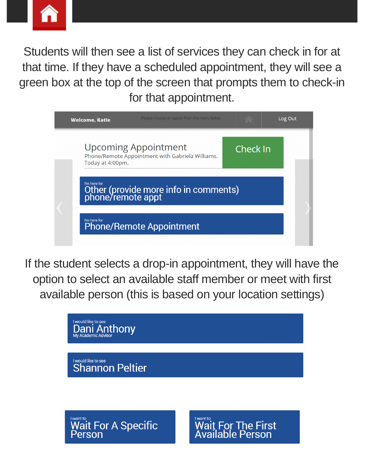

Students will then see a list of services they can check in for at that time. If they have a scheduled appointment, they will see a green box at the top of the screen that prompts them to check-in for that appointment.



If the student selects a drop-in appointment, they will have the option to select an available staff member or meet with first available person (this is based on your location settings)